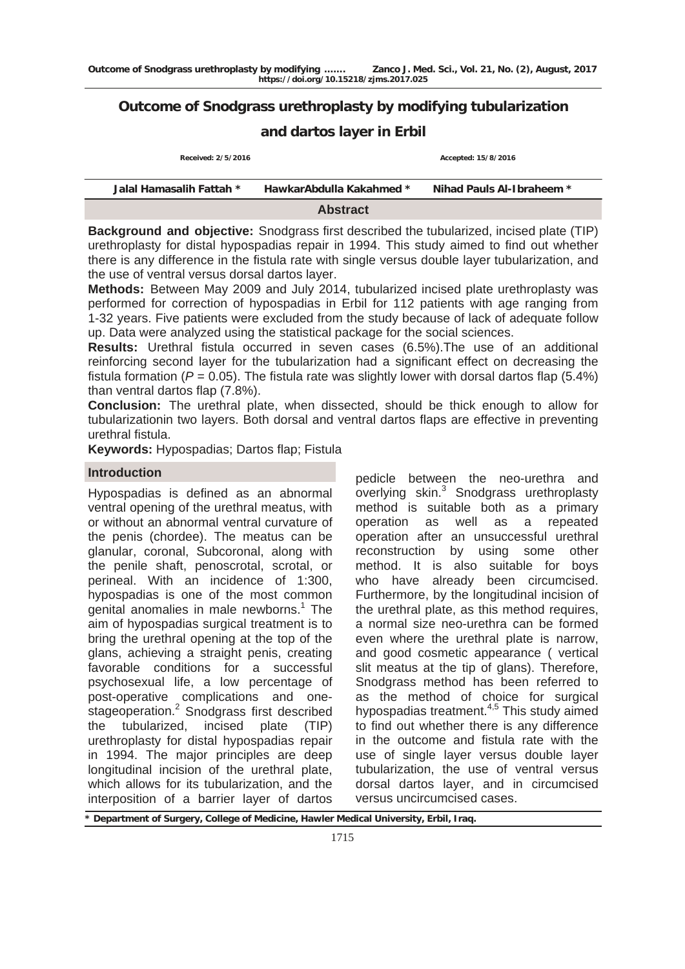# **Outcome of Snodgrass urethroplasty by modifying tubularization**

## **and dartos layer in Erbil**

| Received: 2/5/2016       |                          | Accepted: 15/8/2016       |
|--------------------------|--------------------------|---------------------------|
| Jalal Hamasalih Fattah * | HawkarAbdulla Kakahmed * | Nihad Pauls Al-Ibraheem * |
|                          | <b>Abstract</b>          |                           |

**Background and objective:** Snodgrass first described the tubularized, incised plate (TIP) urethroplasty for distal hypospadias repair in 1994. This study aimed to find out whether there is any difference in the fistula rate with single versus double layer tubularization, and the use of ventral versus dorsal dartos layer.

**Methods:** Between May 2009 and July 2014, tubularized incised plate urethroplasty was performed for correction of hypospadias in Erbil for 112 patients with age ranging from 1-32 years. Five patients were excluded from the study because of lack of adequate follow up. Data were analyzed using the statistical package for the social sciences.

**Results:** Urethral fistula occurred in seven cases (6.5%).The use of an additional reinforcing second layer for the tubularization had a significant effect on decreasing the fistula formation ( $P = 0.05$ ). The fistula rate was slightly lower with dorsal dartos flap (5.4%) than ventral dartos flap (7.8%).

**Conclusion:** The urethral plate, when dissected, should be thick enough to allow for tubularizationin two layers. Both dorsal and ventral dartos flaps are effective in preventing urethral fistula.

**Keywords:** Hypospadias; Dartos flap; Fistula

### **Introduction**

Hypospadias is defined as an abnormal ventral opening of the urethral meatus, with or without an abnormal ventral curvature of the penis (chordee). The meatus can be glanular, coronal, Subcoronal, along with the penile shaft, penoscrotal, scrotal, or perineal. With an incidence of 1:300, hypospadias is one of the most common genital anomalies in male newborns.<sup>1</sup> The aim of hypospadias surgical treatment is to bring the urethral opening at the top of the glans, achieving a straight penis, creating favorable conditions for a successful psychosexual life, a low percentage of post-operative complications and onestageoperation.<sup>2</sup> Snodgrass first described the tubularized, incised plate (TIP) urethroplasty for distal hypospadias repair in 1994. The major principles are deep longitudinal incision of the urethral plate, which allows for its tubularization, and the interposition of a barrier layer of dartos

pedicle between the neo-urethra and overlying skin.<sup>3</sup> Snodgrass urethroplasty method is suitable both as a primary operation as well as a repeated operation after an unsuccessful urethral reconstruction by using some other method. It is also suitable for boys who have already been circumcised. Furthermore, by the longitudinal incision of the urethral plate, as this method requires, a normal size neo-urethra can be formed even where the urethral plate is narrow, and good cosmetic appearance ( vertical slit meatus at the tip of glans). Therefore, Snodgrass method has been referred to as the method of choice for surgical hypospadias treatment.<sup>4,5</sup> This study aimed to find out whether there is any difference in the outcome and fistula rate with the use of single layer versus double layer tubularization, the use of ventral versus dorsal dartos layer, and in circumcised versus uncircumcised cases.

Department of Surgery, College of Medicine, Hawler Medical University, Erbil, Iraq.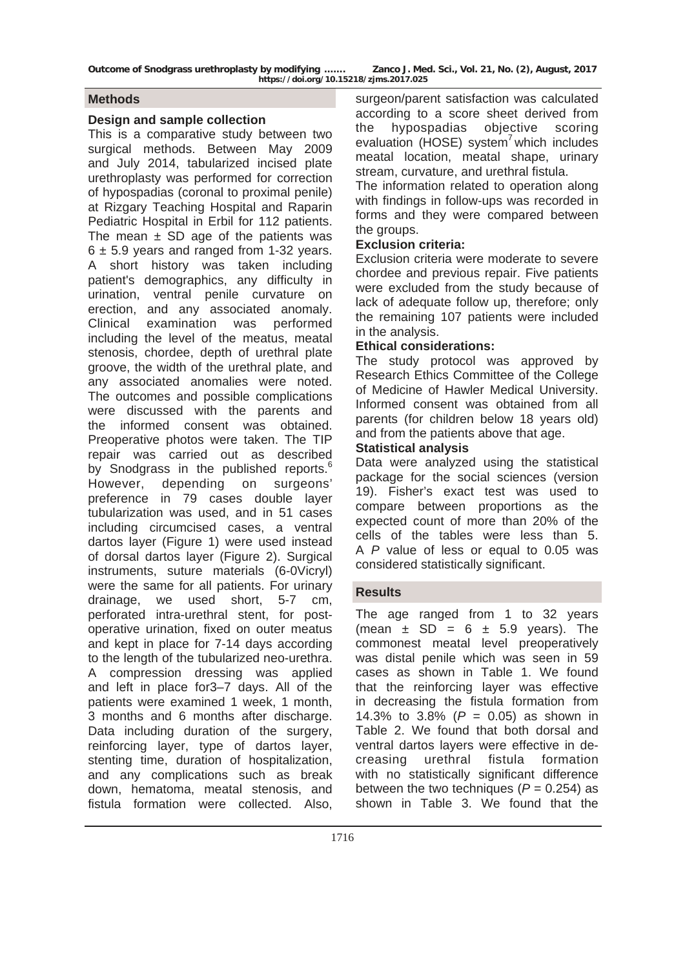**Outcome of Snodgrass urethroplasty by modifying ……. Zanco J. Med. Sci., Vol. 21, No. (2), August, 2017 https://doi.org/10.15218/zjms.2017.025**

#### **Methods**

#### **Design and sample collection**

This is a comparative study between two surgical methods. Between May 2009 and July 2014, tabularized incised plate urethroplasty was performed for correction of hypospadias (coronal to proximal penile) at Rizgary Teaching Hospital and Raparin Pediatric Hospital in Erbil for 112 patients. The mean  $\pm$  SD age of the patients was  $6 \pm 5.9$  years and ranged from 1-32 years. A short history was taken including patient's demographics, any difficulty in urination, ventral penile curvature on erection, and any associated anomaly. Clinical examination was performed including the level of the meatus, meatal stenosis, chordee, depth of urethral plate groove, the width of the urethral plate, and any associated anomalies were noted. The outcomes and possible complications were discussed with the parents and the informed consent was obtained. Preoperative photos were taken. The TIP repair was carried out as described by Snodgrass in the published reports.<sup>6</sup> However, depending on surgeons' preference in 79 cases double layer tubularization was used, and in 51 cases including circumcised cases, a ventral dartos layer (Figure 1) were used instead of dorsal dartos layer (Figure 2). Surgical instruments, suture materials (6-0Vicryl) were the same for all patients. For urinary drainage, we used short, 5-7 cm, perforated intra-urethral stent, for postoperative urination, fixed on outer meatus and kept in place for 7-14 days according to the length of the tubularized neo-urethra. A compression dressing was applied and left in place for3–7 days. All of the patients were examined 1 week, 1 month, 3 months and 6 months after discharge. Data including duration of the surgery, reinforcing layer, type of dartos layer, stenting time, duration of hospitalization, and any complications such as break down, hematoma, meatal stenosis, and fistula formation were collected. Also,

surgeon/parent satisfaction was calculated according to a score sheet derived from the hypospadias objective scoring evaluation (HOSE) system<sup>'</sup> which includes meatal location, meatal shape, urinary stream, curvature, and urethral fistula.

The information related to operation along with findings in follow-ups was recorded in forms and they were compared between the groups.

### **Exclusion criteria:**

Exclusion criteria were moderate to severe chordee and previous repair. Five patients were excluded from the study because of lack of adequate follow up, therefore; only the remaining 107 patients were included in the analysis.

## **Ethical considerations:**

The study protocol was approved by Research Ethics Committee of the College of Medicine of Hawler Medical University. Informed consent was obtained from all parents (for children below 18 years old) and from the patients above that age.

### **Statistical analysis**

Data were analyzed using the statistical package for the social sciences (version 19). Fisher's exact test was used to compare between proportions as the expected count of more than 20% of the cells of the tables were less than 5. A *P* value of less or equal to 0.05 was considered statistically significant.

## **Results**

The age ranged from 1 to 32 years (mean  $\pm$  SD = 6  $\pm$  5.9 years). The commonest meatal level preoperatively was distal penile which was seen in 59 cases as shown in Table 1. We found that the reinforcing layer was effective in decreasing the fistula formation from 14.3% to 3.8% (*P* = 0.05) as shown in Table 2. We found that both dorsal and ventral dartos layers were effective in decreasing urethral fistula formation with no statistically significant difference between the two techniques  $(P = 0.254)$  as shown in Table 3. We found that the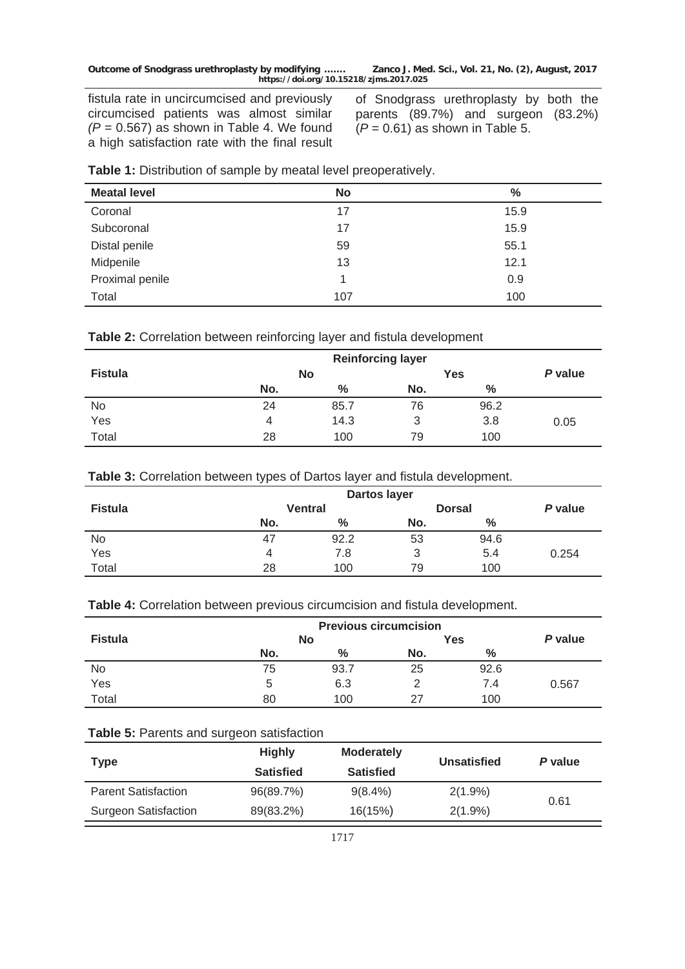fistula rate in uncircumcised and previously circumcised patients was almost similar  $(P = 0.567)$  as shown in Table 4. We found a high satisfaction rate with the final result

of Snodgrass urethroplasty by both the parents (89.7%) and surgeon (83.2%)  $(P = 0.61)$  as shown in Table 5.

| <b>Meatal level</b> | <b>No</b> | $\%$ |
|---------------------|-----------|------|
| Coronal             | 17        | 15.9 |
| Subcoronal          | 17        | 15.9 |
| Distal penile       | 59        | 55.1 |
| Midpenile           | 13        | 12.1 |
| Proximal penile     |           | 0.9  |
| Total               | 107       | 100  |

| Table 1: Distribution of sample by meatal level preoperatively. |  |  |  |
|-----------------------------------------------------------------|--|--|--|
|-----------------------------------------------------------------|--|--|--|

### **Table 2:** Correlation between reinforcing layer and fistula development

|                |     | <b>Reinforcing layer</b> |     |            |         |
|----------------|-----|--------------------------|-----|------------|---------|
| <b>Fistula</b> |     | <b>No</b>                |     | <b>Yes</b> | P value |
|                | No. | %                        | No. | $\%$       |         |
| No             | 24  | 85.7                     | 76  | 96.2       |         |
| Yes            | 4   | 14.3                     | 3   | 3.8        | 0.05    |
| Total          | 28  | 100                      | 79  | 100        |         |

| Table 3: Correlation between types of Dartos layer and fistula development. |  |  |  |  |  |
|-----------------------------------------------------------------------------|--|--|--|--|--|
|-----------------------------------------------------------------------------|--|--|--|--|--|

|                |                | Dartos layer |               |      |         |
|----------------|----------------|--------------|---------------|------|---------|
| <b>Fistula</b> | <b>Ventral</b> |              | <b>Dorsal</b> |      | P value |
|                | No.            | %            | No.           | $\%$ |         |
| No             | 47             | 92.2         | 53            | 94.6 |         |
| Yes            | 4              | 7.8          | 3             | 5.4  | 0.254   |
| Total          | 28             | 100          | 79            | 100  |         |

#### **Table 4:** Correlation between previous circumcision and fistula development.

| <b>Previous circumcision</b> |     |           |     |      |       |
|------------------------------|-----|-----------|-----|------|-------|
| <b>Fistula</b>               |     | <b>No</b> |     | Yes  |       |
|                              | No. | %         | No. | %    |       |
| No                           | 75  | 93.7      | 25  | 92.6 |       |
| Yes                          | 5   | 6.3       |     | 7.4  | 0.567 |
| Total                        | 80  | 100       | 27  | 100  |       |

## **Table 5:** Parents and surgeon satisfaction

| <b>Type</b>                 | <b>Highly</b><br><b>Satisfied</b> | <b>Moderately</b><br><b>Satisfied</b> | <b>Unsatisfied</b> | P value |
|-----------------------------|-----------------------------------|---------------------------------------|--------------------|---------|
| <b>Parent Satisfaction</b>  | 96(89.7%)                         | $9(8.4\%)$                            | $2(1.9\%)$         |         |
| <b>Surgeon Satisfaction</b> | 89(83.2%)                         | 16(15%)                               | $2(1.9\%)$         | 0.61    |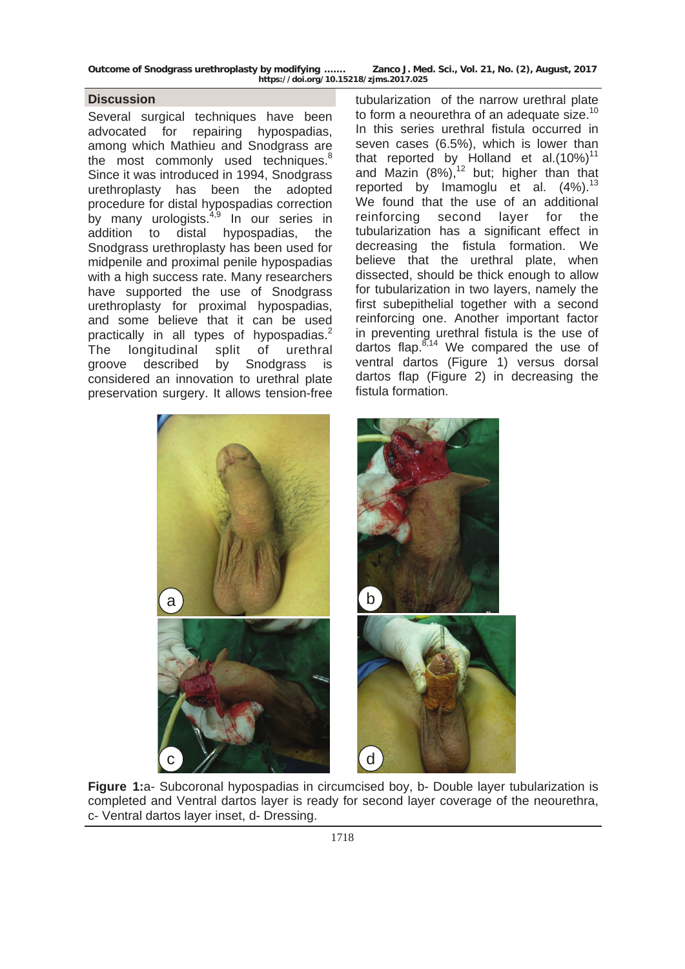| Outcome of Snodgrass urethroplasty by modifying | Zanco J. Med. Sci., Vol. 21, No. (2), August, 2017 |
|-------------------------------------------------|----------------------------------------------------|
| https://doi.org/10.15218/zjms.2017.025          |                                                    |

#### **Discussion**

Several surgical techniques have been advocated for repairing hypospadias, among which Mathieu and Snodgrass are the most commonly used techniques.<sup>8</sup> Since it was introduced in 1994, Snodgrass urethroplasty has been the adopted procedure for distal hypospadias correction by many urologists. $4,9$  In our series in addition to distal hypospadias, the Snodgrass urethroplasty has been used for midpenile and proximal penile hypospadias with a high success rate. Many researchers have supported the use of Snodgrass urethroplasty for proximal hypospadias, and some believe that it can be used practically in all types of hypospadias. $2$ The longitudinal split of urethral groove described by Snodgrass is considered an innovation to urethral plate preservation surgery. It allows tension-free

tubularization of the narrow urethral plate to form a neourethra of an adequate size.<sup>10</sup> In this series urethral fistula occurred in seven cases (6.5%), which is lower than that reported by Holland et al. $(10\%)^{11}$ and Mazin  $(8\%)$ ,<sup>12</sup> but; higher than that reported by Imamoglu et al.  $(4\%)$ .<sup>13</sup> We found that the use of an additional reinforcing second layer for the tubularization has a significant effect in decreasing the fistula formation. We believe that the urethral plate, when dissected, should be thick enough to allow for tubularization in two layers, namely the first subepithelial together with a second reinforcing one. Another important factor in preventing urethral fistula is the use of dartos flap. $8,14$  We compared the use of ventral dartos (Figure 1) versus dorsal dartos flap (Figure 2) in decreasing the fistula formation.



**Figure 1:**a- Subcoronal hypospadias in circumcised boy, b- Double layer tubularization is completed and Ventral dartos layer is ready for second layer coverage of the neourethra, c- Ventral dartos layer inset, d- Dressing.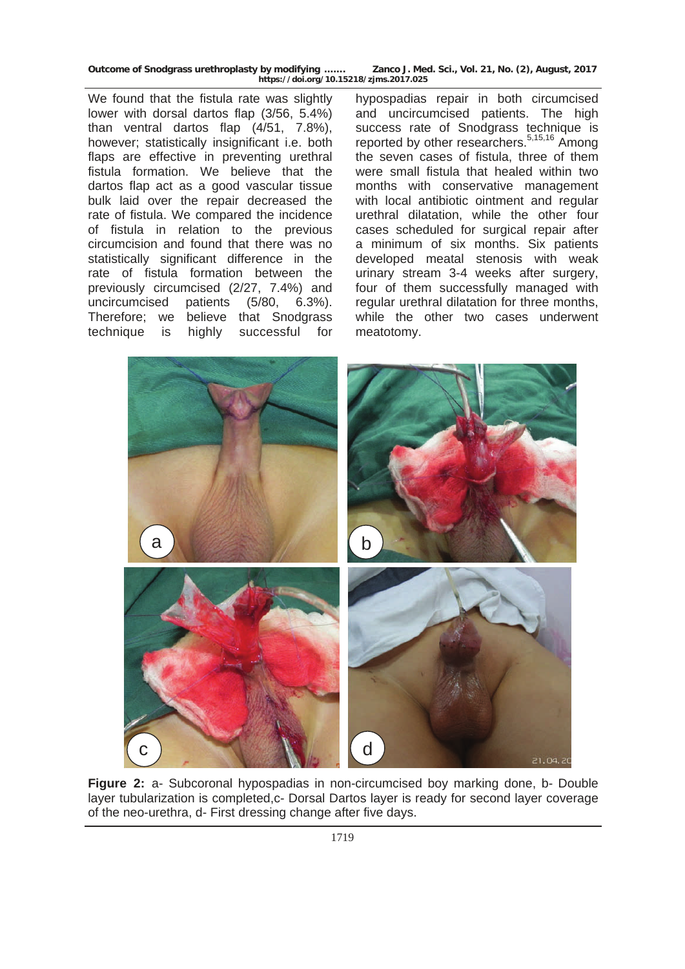**Outcome of Snodgrass urethroplasty by modifying ……. Zanco J. Med. Sci., Vol. 21, No. (2), August, 2017 https://doi.org/10.15218/zjms.2017.025**

We found that the fistula rate was slightly lower with dorsal dartos flap (3/56, 5.4%) than ventral dartos flap (4/51, 7.8%), however; statistically insignificant i.e. both flaps are effective in preventing urethral fistula formation. We believe that the dartos flap act as a good vascular tissue bulk laid over the repair decreased the rate of fistula. We compared the incidence of fistula in relation to the previous circumcision and found that there was no statistically significant difference in the rate of fistula formation between the previously circumcised (2/27, 7.4%) and uncircumcised patients (5/80, 6.3%). Therefore; we believe that Snodgrass technique is highly successful for

hypospadias repair in both circumcised and uncircumcised patients. The high success rate of Snodgrass technique is reported by other researchers.<sup>5,15,16</sup> Among the seven cases of fistula, three of them were small fistula that healed within two months with conservative management with local antibiotic ointment and regular urethral dilatation, while the other four cases scheduled for surgical repair after a minimum of six months. Six patients developed meatal stenosis with weak urinary stream 3-4 weeks after surgery, four of them successfully managed with regular urethral dilatation for three months, while the other two cases underwent meatotomy.



**Figure 2:** a- Subcoronal hypospadias in non-circumcised boy marking done, b- Double layer tubularization is completed,c- Dorsal Dartos layer is ready for second layer coverage of the neo-urethra, d- First dressing change after five days.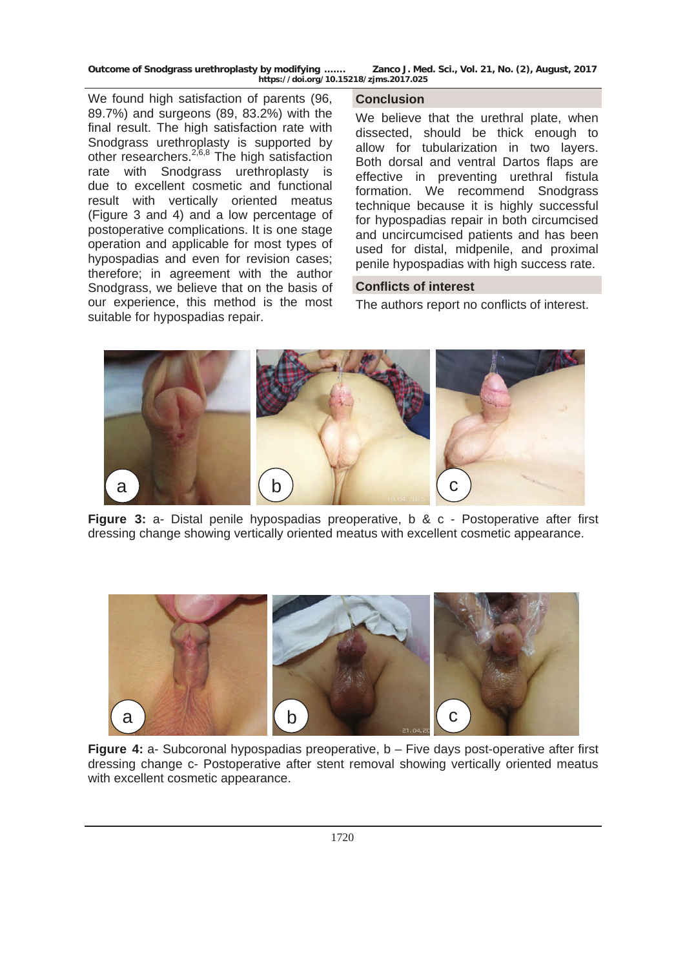**Outcome of Snodgrass urethroplasty by modifying ……. Zanco J. Med. Sci., Vol. 21, No. (2), August, 2017 https://doi.org/10.15218/zjms.2017.025**

We found high satisfaction of parents (96, 89.7%) and surgeons (89, 83.2%) with the final result. The high satisfaction rate with Snodgrass urethroplasty is supported by other researchers. $2,6,8$  The high satisfaction rate with Snodgrass urethroplasty is due to excellent cosmetic and functional result with vertically oriented meatus (Figure 3 and 4) and a low percentage of postoperative complications. It is one stage operation and applicable for most types of hypospadias and even for revision cases; therefore; in agreement with the author Snodgrass, we believe that on the basis of our experience, this method is the most suitable for hypospadias repair.

#### **Conclusion**

We believe that the urethral plate, when dissected, should be thick enough to allow for tubularization in two layers. Both dorsal and ventral Dartos flaps are effective in preventing urethral fistula formation. We recommend Snodgrass technique because it is highly successful for hypospadias repair in both circumcised and uncircumcised patients and has been used for distal, midpenile, and proximal penile hypospadias with high success rate.

#### **Conflicts of interest**

The authors report no conflicts of interest.



**Figure 3:** a- Distal penile hypospadias preoperative, b & c - Postoperative after first dressing change showing vertically oriented meatus with excellent cosmetic appearance.



**Figure 4:** a- Subcoronal hypospadias preoperative, b – Five days post-operative after first dressing change c- Postoperative after stent removal showing vertically oriented meatus with excellent cosmetic appearance.